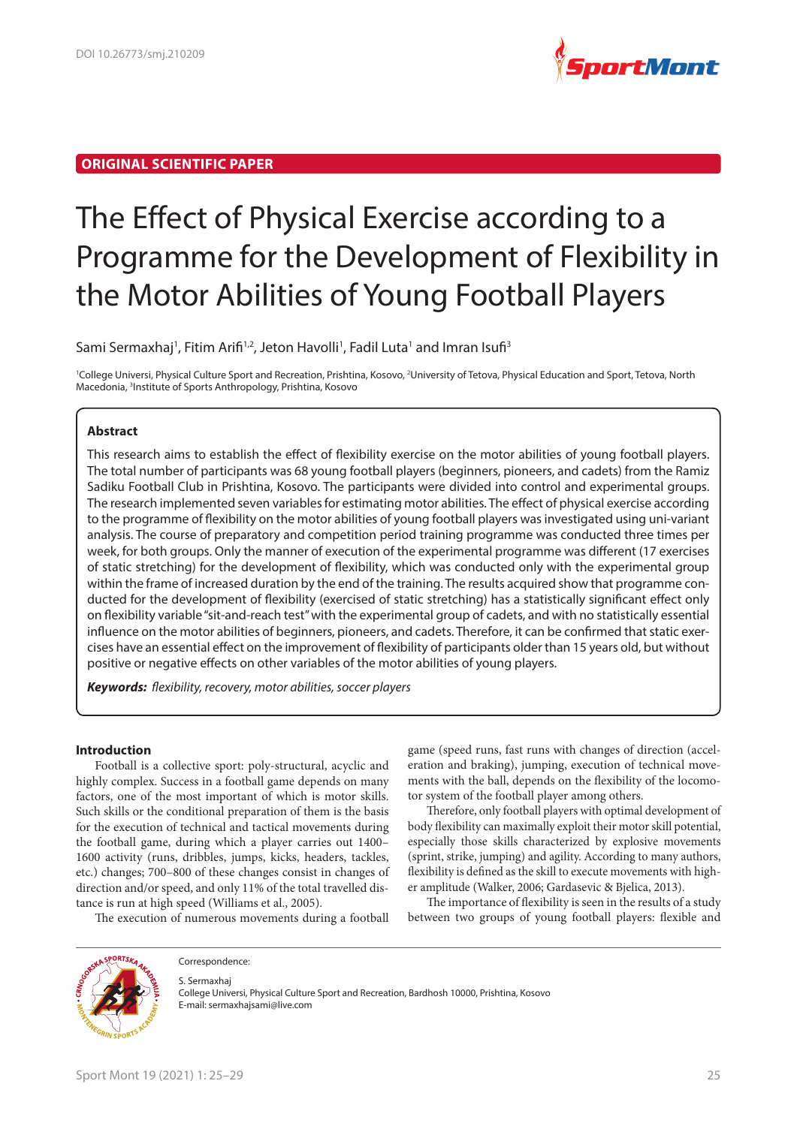

# **ORIGINAL SCIENTIFIC PAPER**

# The Effect of Physical Exercise according to a Programme for the Development of Flexibility in the Motor Abilities of Young Football Players

Sami Sermaxhaj<sup>1</sup>, Fitim Arifi<sup>1,2</sup>, Jeton Havolli<sup>1</sup>, Fadil Luta<sup>1</sup> and Imran Isufi<sup>3</sup>

<sup>1</sup>College Universi, Physical Culture Sport and Recreation, Prishtina, Kosovo, <sup>2</sup>University of Tetova, Physical Education and Sport, Tetova, North Macedonia, <sup>3</sup>Institute of Sports Anthropology, Prishtina, Kosovo

## **Abstract**

This research aims to establish the effect of flexibility exercise on the motor abilities of young football players. The total number of participants was 68 young football players (beginners, pioneers, and cadets) from the Ramiz Sadiku Football Club in Prishtina, Kosovo. The participants were divided into control and experimental groups. The research implemented seven variables for estimating motor abilities. The effect of physical exercise according to the programme of flexibility on the motor abilities of young football players was investigated using uni-variant analysis. The course of preparatory and competition period training programme was conducted three times per week, for both groups. Only the manner of execution of the experimental programme was different (17 exercises of static stretching) for the development of flexibility, which was conducted only with the experimental group within the frame of increased duration by the end of the training. The results acquired show that programme conducted for the development of flexibility (exercised of static stretching) has a statistically significant effect only on flexibility variable "sit-and-reach test" with the experimental group of cadets, and with no statistically essential influence on the motor abilities of beginners, pioneers, and cadets. Therefore, it can be confirmed that static exercises have an essential effect on the improvement of flexibility of participants older than 15 years old, but without positive or negative effects on other variables of the motor abilities of young players.

*Keywords: flexibility, recovery, motor abilities, soccer players* 

## **Introduction**

Football is a collective sport: poly-structural, acyclic and highly complex. Success in a football game depends on many factors, one of the most important of which is motor skills. Such skills or the conditional preparation of them is the basis for the execution of technical and tactical movements during the football game, during which a player carries out 1400– 1600 activity (runs, dribbles, jumps, kicks, headers, tackles, etc.) changes; 700–800 of these changes consist in changes of direction and/or speed, and only 11% of the total travelled distance is run at high speed (Williams et al., 2005).

The execution of numerous movements during a football

game (speed runs, fast runs with changes of direction (acceleration and braking), jumping, execution of technical movements with the ball, depends on the flexibility of the locomotor system of the football player among others.

Therefore, only football players with optimal development of body flexibility can maximally exploit their motor skill potential, especially those skills characterized by explosive movements (sprint, strike, jumping) and agility. According to many authors, flexibility is defined as the skill to execute movements with higher amplitude (Walker, 2006; Gardasevic & Bjelica, 2013).

The importance of flexibility is seen in the results of a study between two groups of young football players: flexible and



Correspondence: S. Sermaxhaj

College Universi, Physical Culture Sport and Recreation, Bardhosh 10000, Prishtina, Kosovo E-mail: sermaxhajsami@live.com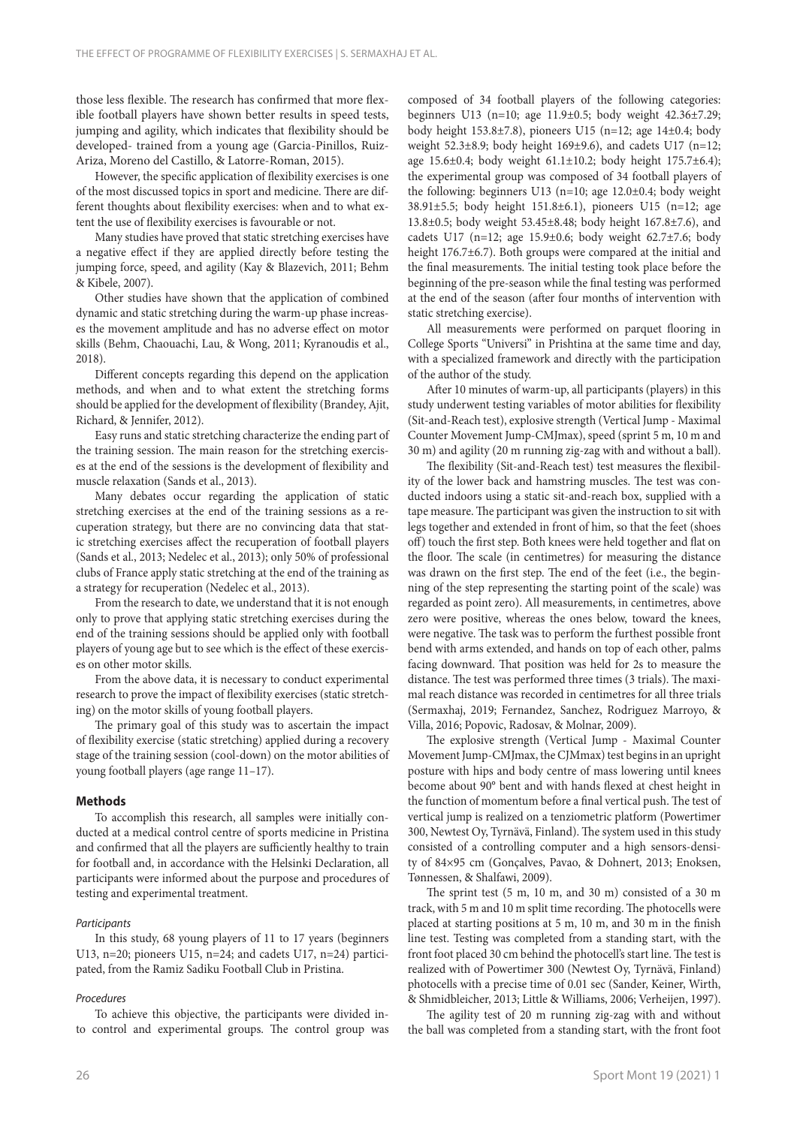those less flexible. The research has confirmed that more flexible football players have shown better results in speed tests, jumping and agility, which indicates that flexibility should be developed- trained from a young age (Garcia-Pinillos, Ruiz-Ariza, Moreno del Castillo, & Latorre-Roman, 2015).

However, the specific application of flexibility exercises is one of the most discussed topics in sport and medicine. There are different thoughts about flexibility exercises: when and to what extent the use of flexibility exercises is favourable or not.

Many studies have proved that static stretching exercises have a negative effect if they are applied directly before testing the jumping force, speed, and agility (Kay & Blazevich, 2011; Behm & Kibele, 2007).

Other studies have shown that the application of combined dynamic and static stretching during the warm-up phase increases the movement amplitude and has no adverse effect on motor skills (Behm, Chaouachi, Lau, & Wong, 2011; Kyranoudis et al., 2018).

Different concepts regarding this depend on the application methods, and when and to what extent the stretching forms should be applied for the development of flexibility (Brandey, Ajit, Richard, & Jennifer, 2012).

Easy runs and static stretching characterize the ending part of the training session. The main reason for the stretching exercises at the end of the sessions is the development of flexibility and muscle relaxation (Sands et al., 2013).

Many debates occur regarding the application of static stretching exercises at the end of the training sessions as a recuperation strategy, but there are no convincing data that static stretching exercises affect the recuperation of football players (Sands et al., 2013; Nedelec et al., 2013); only 50% of professional clubs of France apply static stretching at the end of the training as a strategy for recuperation (Nedelec et al., 2013).

From the research to date, we understand that it is not enough only to prove that applying static stretching exercises during the end of the training sessions should be applied only with football players of young age but to see which is the effect of these exercises on other motor skills.

From the above data, it is necessary to conduct experimental research to prove the impact of flexibility exercises (static stretching) on the motor skills of young football players.

The primary goal of this study was to ascertain the impact of flexibility exercise (static stretching) applied during a recovery stage of the training session (cool-down) on the motor abilities of young football players (age range 11–17).

#### **Methods**

To accomplish this research, all samples were initially conducted at a medical control centre of sports medicine in Pristina and confirmed that all the players are sufficiently healthy to train for football and, in accordance with the Helsinki Declaration, all participants were informed about the purpose and procedures of testing and experimental treatment.

#### *Participants*

In this study, 68 young players of 11 to 17 years (beginners U13, n=20; pioneers U15, n=24; and cadets U17, n=24) participated, from the Ramiz Sadiku Football Club in Pristina.

#### *Procedures*

To achieve this objective, the participants were divided into control and experimental groups. The control group was composed of 34 football players of the following categories: beginners U13 (n=10; age 11.9±0.5; body weight 42.36±7.29; body height 153.8±7.8), pioneers U15 (n=12; age 14±0.4; body weight 52.3±8.9; body height 169±9.6), and cadets U17 (n=12; age 15.6 $\pm$ 0.4; body weight 61.1 $\pm$ 10.2; body height 175.7 $\pm$ 6.4); the experimental group was composed of 34 football players of the following: beginners U13 (n=10; age 12.0±0.4; body weight 38.91±5.5; body height 151.8±6.1), pioneers U15 (n=12; age 13.8±0.5; body weight 53.45±8.48; body height 167.8±7.6), and cadets U17 (n=12; age 15.9±0.6; body weight 62.7±7.6; body height 176.7±6.7). Both groups were compared at the initial and the final measurements. The initial testing took place before the beginning of the pre-season while the final testing was performed at the end of the season (after four months of intervention with static stretching exercise).

All measurements were performed on parquet flooring in College Sports "Universi" in Prishtina at the same time and day, with a specialized framework and directly with the participation of the author of the study.

After 10 minutes of warm-up, all participants (players) in this study underwent testing variables of motor abilities for flexibility (Sit-and-Reach test), explosive strength (Vertical Jump - Maximal Counter Movement Jump-CMJmax), speed (sprint 5 m, 10 m and 30 m) and agility (20 m running zig-zag with and without a ball).

The flexibility (Sit-and-Reach test) test measures the flexibility of the lower back and hamstring muscles. The test was conducted indoors using a static sit-and-reach box, supplied with a tape measure. The participant was given the instruction to sit with legs together and extended in front of him, so that the feet (shoes off) touch the first step. Both knees were held together and flat on the floor. The scale (in centimetres) for measuring the distance was drawn on the first step. The end of the feet (i.e., the beginning of the step representing the starting point of the scale) was regarded as point zero). All measurements, in centimetres, above zero were positive, whereas the ones below, toward the knees, were negative. The task was to perform the furthest possible front bend with arms extended, and hands on top of each other, palms facing downward. That position was held for 2s to measure the distance. The test was performed three times (3 trials). The maximal reach distance was recorded in centimetres for all three trials (Sermaxhaj, 2019; Fernandez, Sanchez, Rodriguez Marroyo, & Villa, 2016; Popovic, Radosav, & Molnar, 2009).

The explosive strength (Vertical Jump - Maximal Counter Movement Jump-CMJmax, the CJMmax) test begins in an upright posture with hips and body centre of mass lowering until knees become about 90° bent and with hands flexed at chest height in the function of momentum before a final vertical push. The test of vertical jump is realized on a tenziometric platform (Powertimer 300, Newtest Oy, Tyrnävä, Finland). The system used in this study consisted of a controlling computer and a high sensors-density of 84×95 cm (Gonçalves, Pavao, & Dohnert, 2013; Enoksen, Tønnessen, & Shalfawi, 2009).

The sprint test (5 m, 10 m, and 30 m) consisted of a 30 m track, with 5 m and 10 m split time recording. The photocells were placed at starting positions at 5 m, 10 m, and 30 m in the finish line test. Testing was completed from a standing start, with the front foot placed 30 cm behind the photocell's start line. The test is realized with of Powertimer 300 (Newtest Oy, Tyrnävä, Finland) photocells with a precise time of 0.01 sec (Sander, Keiner, Wirth, & Shmidbleicher, 2013; Little & Williams, 2006; Verheijen, 1997).

The agility test of 20 m running zig-zag with and without the ball was completed from a standing start, with the front foot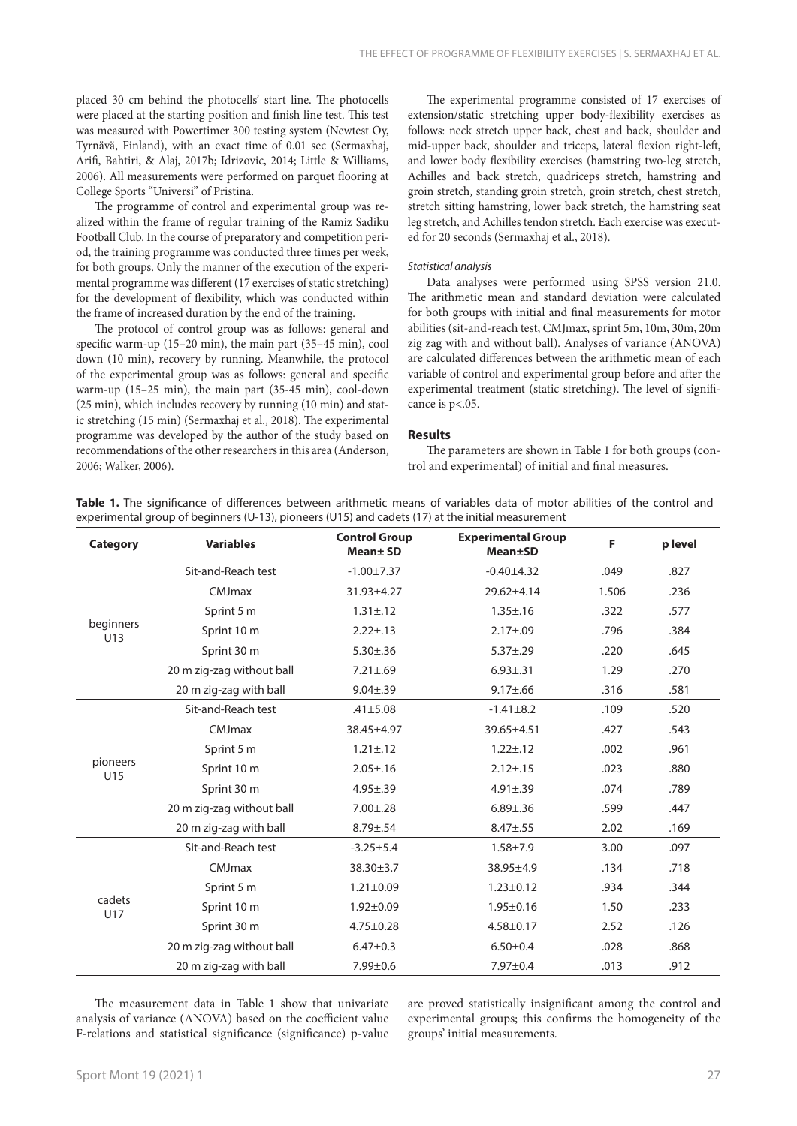placed 30 cm behind the photocells' start line. The photocells were placed at the starting position and finish line test. This test was measured with Powertimer 300 testing system (Newtest Oy, Tyrnävä, Finland), with an exact time of 0.01 sec (Sermaxhaj, Arifi, Bahtiri, & Alaj, 2017b; Idrizovic, 2014; Little & Williams, 2006). All measurements were performed on parquet flooring at College Sports "Universi" of Pristina.

The programme of control and experimental group was realized within the frame of regular training of the Ramiz Sadiku Football Club. In the course of preparatory and competition period, the training programme was conducted three times per week, for both groups. Only the manner of the execution of the experimental programme was different (17 exercises of static stretching) for the development of flexibility, which was conducted within the frame of increased duration by the end of the training.

The protocol of control group was as follows: general and specific warm-up (15–20 min), the main part (35–45 min), cool down (10 min), recovery by running. Meanwhile, the protocol of the experimental group was as follows: general and specific warm-up (15–25 min), the main part (35-45 min), cool-down (25 min), which includes recovery by running (10 min) and static stretching (15 min) (Sermaxhaj et al., 2018). The experimental programme was developed by the author of the study based on recommendations of the other researchers in this area (Anderson, 2006; Walker, 2006).

The experimental programme consisted of 17 exercises of extension/static stretching upper body-flexibility exercises as follows: neck stretch upper back, chest and back, shoulder and mid-upper back, shoulder and triceps, lateral flexion right-left, and lower body flexibility exercises (hamstring two-leg stretch, Achilles and back stretch, quadriceps stretch, hamstring and groin stretch, standing groin stretch, groin stretch, chest stretch, stretch sitting hamstring, lower back stretch, the hamstring seat leg stretch, and Achilles tendon stretch. Each exercise was executed for 20 seconds (Sermaxhaj et al., 2018).

#### *Statistical analysis*

Data analyses were performed using SPSS version 21.0. The arithmetic mean and standard deviation were calculated for both groups with initial and final measurements for motor abilities (sit-and-reach test, CMJmax, sprint 5m, 10m, 30m, 20m zig zag with and without ball). Analyses of variance (ANOVA) are calculated differences between the arithmetic mean of each variable of control and experimental group before and after the experimental treatment (static stretching). The level of significance is p<.05.

### **Results**

The parameters are shown in Table 1 for both groups (control and experimental) of initial and final measures.

|  | Table 1. The significance of differences between arithmetic means of variables data of motor abilities of the control and |  |  |  |  |  |  |
|--|---------------------------------------------------------------------------------------------------------------------------|--|--|--|--|--|--|
|  | experimental group of beginners (U-13), pioneers (U15) and cadets (17) at the initial measurement                         |  |  |  |  |  |  |

| <b>Category</b>  | <b>Variables</b>          | <b>Control Group</b><br>Mean+ SD | <b>Experimental Group</b><br><b>Mean</b> +SD | F                                            | p level |
|------------------|---------------------------|----------------------------------|----------------------------------------------|----------------------------------------------|---------|
| beginners<br>U13 | Sit-and-Reach test        | $-1.00 \pm 7.37$                 | $-0.40+4.32$                                 | .049                                         | .827    |
|                  | CMJmax                    | 31.93±4.27                       | 29.62±4.14                                   | 1.506                                        | .236    |
|                  | Sprint 5 m                | $1.31 \pm .12$                   | $1.35 \pm .16$                               | .322                                         | .577    |
|                  | Sprint 10 m               | $2.22 \pm .13$                   | $2.17 \pm 0.09$                              | .796                                         | .384    |
|                  | Sprint 30 m               | $5.30 \pm .36$                   | $5.37 \pm .29$                               | .220                                         | .645    |
|                  | 20 m zig-zag without ball | $7.21 \pm .69$                   | $6.93 \pm .31$                               | 1.29                                         | .270    |
|                  | 20 m zig-zag with ball    | $9.04 \pm .39$                   | $9.17 \pm .66$                               | .316                                         | .581    |
|                  | Sit-and-Reach test        | $.41 \pm 5.08$                   | $-1.41 \pm 8.2$                              | .109                                         | .520    |
|                  | CMJmax                    | 38.45±4.97                       | 39.65±4.51                                   | .427                                         | .543    |
|                  | Sprint 5 m                | $1.21 \pm .12$                   | $1.22 \pm .12$                               | .002                                         | .961    |
| pioneers<br>U15  | Sprint 10 m               | $2.05 \pm .16$                   | $2.12 \pm .15$                               | .023                                         | .880    |
|                  | Sprint 30 m               | $4.95 \pm .39$                   | $4.91 \pm .39$                               | .074                                         | .789    |
|                  | 20 m zig-zag without ball | $7.00 \pm .28$                   | $6.89 + .36$                                 | .599                                         | .447    |
|                  | 20 m zig-zag with ball    | $8.79 \pm .54$                   | $8.47 + .55$                                 | 2.02<br>.169<br>3.00<br>.097<br>.718<br>.134 |         |
|                  | Sit-and-Reach test        | $-3.25 \pm 5.4$                  | $1.58 + 7.9$                                 |                                              |         |
|                  | CMJmax                    | 38.30±3.7                        | $38.95 + 4.9$                                |                                              |         |
|                  | Sprint 5 m                | $1.21 \pm 0.09$                  | $1.23 \pm 0.12$                              | .934                                         | .344    |
| cadets<br>U17    | Sprint 10 m               | $1.92 \pm 0.09$                  | $1.95 \pm 0.16$                              | 1.50                                         | .233    |
|                  | Sprint 30 m               | $4.75 \pm 0.28$                  | $4.58 \pm 0.17$                              | 2.52                                         | .126    |
|                  | 20 m zig-zag without ball | $6.47 + 0.3$                     | $6.50 + 0.4$                                 | .028                                         | .868    |
|                  | 20 m zig-zag with ball    | $7.99 \pm 0.6$                   | $7.97 \pm 0.4$                               | .013                                         | .912    |

The measurement data in Table 1 show that univariate analysis of variance (ANOVA) based on the coefficient value F-relations and statistical significance (significance) p-value are proved statistically insignificant among the control and experimental groups; this confirms the homogeneity of the groups' initial measurements.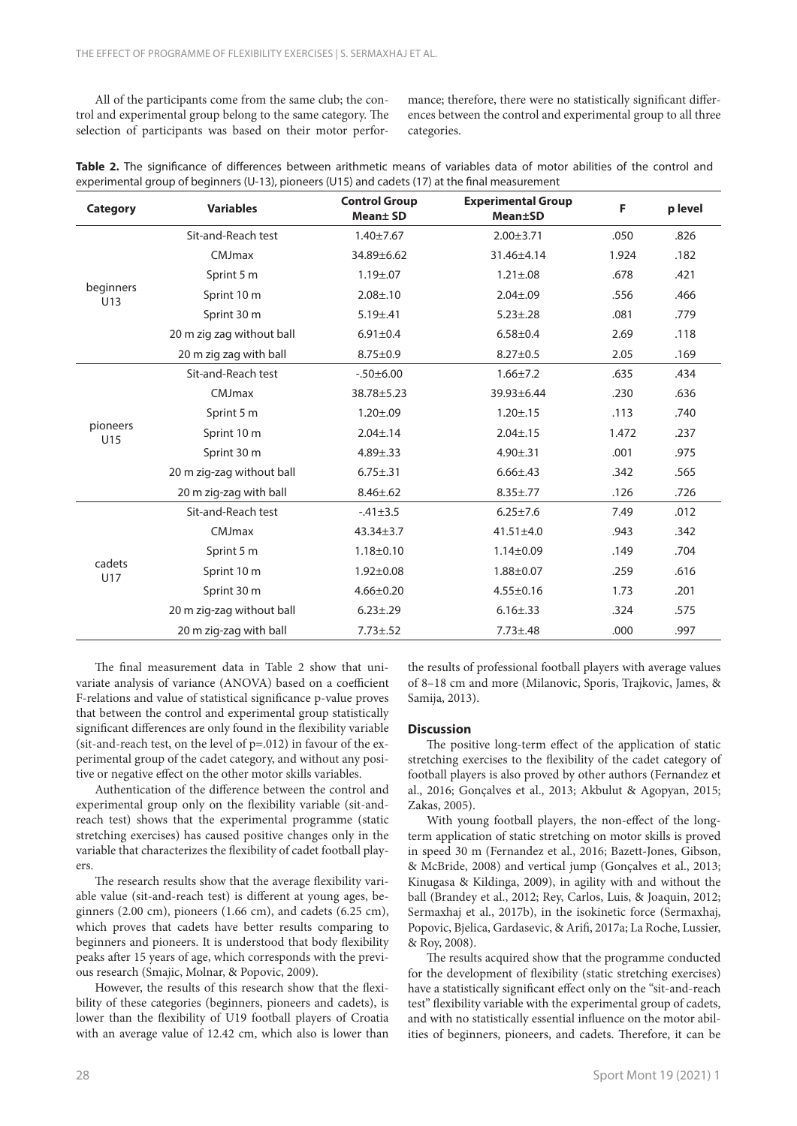All of the participants come from the same club; the control and experimental group belong to the same category. The selection of participants was based on their motor performance; therefore, there were no statistically significant differences between the control and experimental group to all three categories.

|  |  | Table 2. The significance of differences between arithmetic means of variables data of motor abilities of the control and |  |  |  |  |  |  |  |
|--|--|---------------------------------------------------------------------------------------------------------------------------|--|--|--|--|--|--|--|
|  |  | experimental group of beginners (U-13), pioneers (U15) and cadets (17) at the final measurement                           |  |  |  |  |  |  |  |

| Category         | <b>Variables</b>          | <b>Control Group</b><br><b>Mean</b> ±SD | <b>Experimental Group</b><br><b>Mean±SD</b> | F     | p level |
|------------------|---------------------------|-----------------------------------------|---------------------------------------------|-------|---------|
|                  | Sit-and-Reach test        | $1.40 \pm 7.67$                         | $2.00 \pm 3.71$                             | .050  | .826    |
|                  | CMJmax                    | 34.89±6.62                              | 31.46±4.14                                  | 1.924 | .182    |
|                  | Sprint 5 m                | $1.19 + 0.07$                           | $1.21 \pm .08$                              | .678  | .421    |
| beginners<br>U13 | Sprint 10 m               | $2.08 \pm 0.10$                         | $2.04 \pm 0.09$                             | .556  | .466    |
|                  | Sprint 30 m               | $5.19 \pm .41$                          | $5.23 \pm .28$                              | .081  | .779    |
|                  | 20 m zig zag without ball | $6.91 \pm 0.4$                          | $6.58 + 0.4$                                | 2.69  | .118    |
|                  | 20 m zig zag with ball    | $8.75 \pm 0.9$                          | $8.27 \pm 0.5$                              | 2.05  | .169    |
|                  | Sit-and-Reach test        | $-0.50 + 6.00$                          | $1.66 \pm 7.2$                              | .635  | .434    |
|                  | CMJmax                    | 38.78±5.23                              | 39.93±6.44                                  | .230  | .636    |
|                  | Sprint 5 m                | $1.20 \pm .09$                          | $1.20 \pm .15$                              | .113  | .740    |
| pioneers<br>U15  | Sprint 10 m               | $2.04 \pm .14$                          | $2.04 \pm .15$                              | 1.472 | .237    |
|                  | Sprint 30 m               | $4.89 \pm .33$                          | $4.90 \pm .31$                              | .001  | .975    |
|                  | 20 m zig-zag without ball | $6.75 \pm .31$                          | $6.66 \pm .43$                              | .342  | .565    |
|                  | 20 m zig-zag with ball    | $8.46 \pm .62$                          | $8.35 \pm .77$                              | .126  | .726    |
|                  | Sit-and-Reach test        | $-41\pm3.5$                             | $6.25 \pm 7.6$                              | 7.49  | .012    |
|                  | CMJmax                    | $43.34 \pm 3.7$                         | $41.51 \pm 4.0$                             | .943  | .342    |
|                  | Sprint 5 m                | $1.18 \pm 0.10$                         | $1.14 \pm 0.09$                             | .149  | .704    |
| cadets<br>U17    | Sprint 10 m               | $1.92 \pm 0.08$                         | $1.88 + 0.07$                               | .259  | .616    |
|                  | Sprint 30 m               | $4.66 \pm 0.20$                         | $4.55 \pm 0.16$                             | 1.73  | .201    |
|                  | 20 m zig-zag without ball | $6.23 \pm .29$                          | $6.16 \pm .33$                              | .324  | .575    |
|                  | 20 m zig-zag with ball    | $7.73 \pm .52$                          | $7.73 \pm .48$                              | .000  | .997    |

The final measurement data in Table 2 show that univariate analysis of variance (ANOVA) based on a coefficient F-relations and value of statistical significance p-value proves that between the control and experimental group statistically significant differences are only found in the flexibility variable (sit-and-reach test, on the level of p=.012) in favour of the experimental group of the cadet category, and without any positive or negative effect on the other motor skills variables.

Authentication of the difference between the control and experimental group only on the flexibility variable (sit-andreach test) shows that the experimental programme (static stretching exercises) has caused positive changes only in the variable that characterizes the flexibility of cadet football players.

The research results show that the average flexibility variable value (sit-and-reach test) is different at young ages, beginners (2.00 cm), pioneers (1.66 cm), and cadets (6.25 cm), which proves that cadets have better results comparing to beginners and pioneers. It is understood that body flexibility peaks after 15 years of age, which corresponds with the previous research (Smajic, Molnar, & Popovic, 2009).

However, the results of this research show that the flexibility of these categories (beginners, pioneers and cadets), is lower than the flexibility of U19 football players of Croatia with an average value of 12.42 cm, which also is lower than the results of professional football players with average values of 8–18 cm and more (Milanovic, Sporis, Trajkovic, James, & Samija, 2013).

## **Discussion**

The positive long-term effect of the application of static stretching exercises to the flexibility of the cadet category of football players is also proved by other authors (Fernandez et al., 2016; Gonçalves et al., 2013; Akbulut & Agopyan, 2015; Zakas, 2005).

With young football players, the non-effect of the longterm application of static stretching on motor skills is proved in speed 30 m (Fernandez et al., 2016; Bazett-Jones, Gibson, & McBride, 2008) and vertical jump (Gonçalves et al., 2013; Kinugasa & Kildinga, 2009), in agility with and without the ball (Brandey et al., 2012; Rey, Carlos, Luis, & Joaquin, 2012; Sermaxhaj et al., 2017b), in the isokinetic force (Sermaxhaj, Popovic, Bjelica, Gardasevic, & Arifi, 2017a; La Roche, Lussier, & Roy, 2008).

The results acquired show that the programme conducted for the development of flexibility (static stretching exercises) have a statistically significant effect only on the "sit-and-reach test" flexibility variable with the experimental group of cadets, and with no statistically essential influence on the motor abilities of beginners, pioneers, and cadets. Therefore, it can be